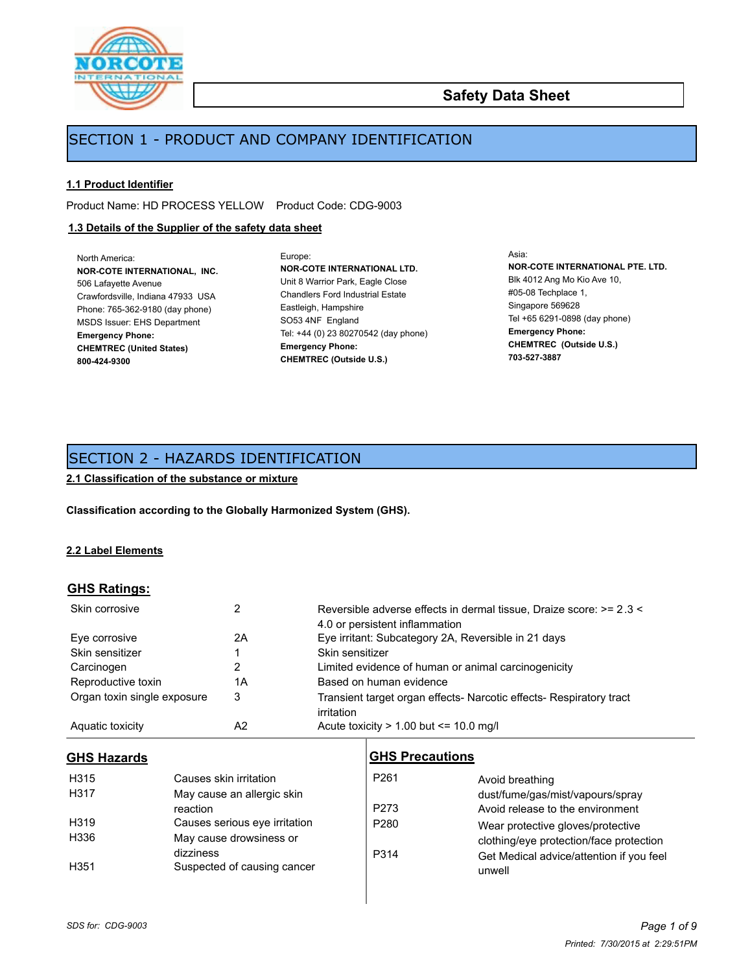

## **Safety Data Sheet**

## SECTION 1 - PRODUCT AND COMPANY IDENTIFICATION

### **1.1 Product Identifier**

Product Name: HD PROCESS YELLOW Product Code: CDG-9003

## **1.3 Details of the Supplier of the safety data sheet**

North America: **NOR-COTE INTERNATIONAL, INC.** 506 Lafayette Avenue Crawfordsville, Indiana 47933 USA Phone: 765-362-9180 (day phone) MSDS Issuer: EHS Department **Emergency Phone: CHEMTREC (United States) 800-424-9300**

Europe: **NOR-COTE INTERNATIONAL LTD.** Unit 8 Warrior Park, Eagle Close Chandlers Ford Industrial Estate Eastleigh, Hampshire SO53 4NF England Tel: +44 (0) 23 80270542 (day phone) **Emergency Phone: CHEMTREC (Outside U.S.)**

Asia: **NOR-COTE INTERNATIONAL PTE. LTD.** Blk 4012 Ang Mo Kio Ave 10, #05-08 Techplace 1, Singapore 569628 Tel +65 6291-0898 (day phone) **Emergency Phone: CHEMTREC (Outside U.S.) 703-527-3887**

## SECTION 2 - HAZARDS IDENTIFICATION

**2.1 Classification of the substance or mixture**

**Classification according to the Globally Harmonized System (GHS).**

### **2.2 Label Elements**

### **GHS Ratings:**

| Skin corrosive              | 2  | Reversible adverse effects in dermal tissue, Draize score: >= 2.3 <<br>4.0 or persistent inflammation |
|-----------------------------|----|-------------------------------------------------------------------------------------------------------|
| Eye corrosive               | 2A | Eye irritant: Subcategory 2A, Reversible in 21 days                                                   |
| Skin sensitizer             |    | Skin sensitizer                                                                                       |
| Carcinogen                  |    | Limited evidence of human or animal carcinogenicity                                                   |
| Reproductive toxin          | 1Α | Based on human evidence                                                                               |
| Organ toxin single exposure | 3  | Transient target organ effects- Narcotic effects- Respiratory tract<br>irritation                     |
| Aquatic toxicity            | A2 | Acute toxicity $> 1.00$ but $\leq 10.0$ mg/l                                                          |

## **GHS Hazards**

| <b>GHS Hazards</b> |                               | <b>GHS Precautions</b> |                                          |
|--------------------|-------------------------------|------------------------|------------------------------------------|
| H315               | Causes skin irritation        | P <sub>261</sub>       | Avoid breathing                          |
| H317               | May cause an allergic skin    |                        | dust/fume/gas/mist/vapours/spray         |
|                    | reaction                      | P <sub>273</sub>       | Avoid release to the environment         |
| H319               | Causes serious eye irritation | P <sub>280</sub>       | Wear protective gloves/protective        |
| H336               | May cause drowsiness or       |                        | clothing/eye protection/face protection  |
|                    | dizziness                     | P314                   | Get Medical advice/attention if you feel |
| H351               | Suspected of causing cancer   |                        | unwell                                   |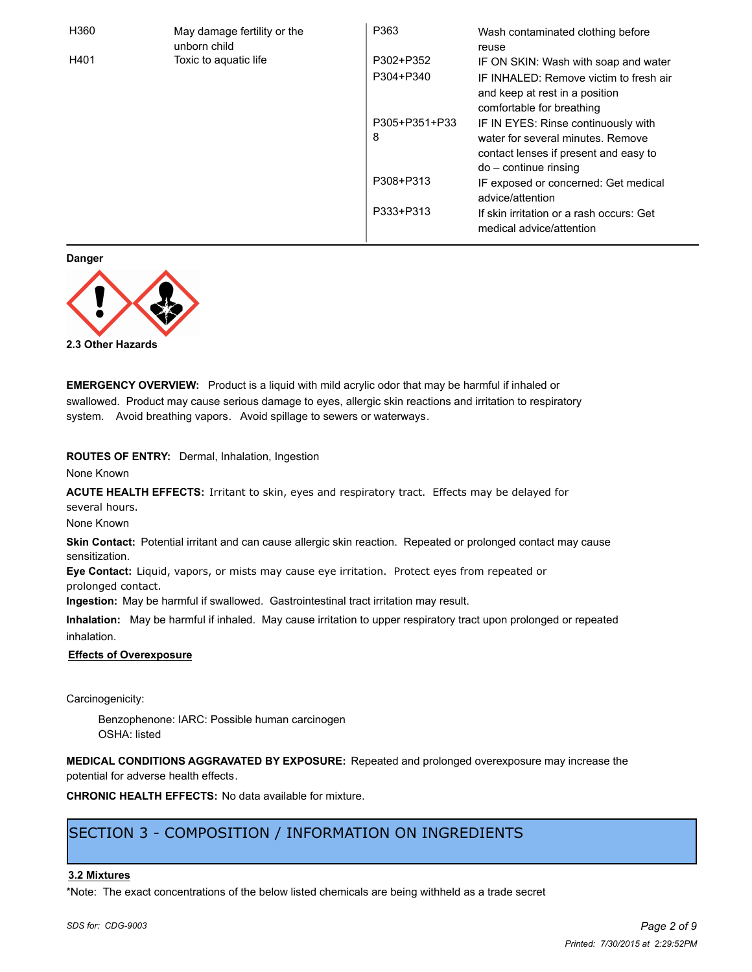| H360 | May damage fertility or the<br>unborn child | P363          | Wash contaminated clothing before<br>reuse                                                            |
|------|---------------------------------------------|---------------|-------------------------------------------------------------------------------------------------------|
| H401 | Toxic to aquatic life                       | P302+P352     | IF ON SKIN: Wash with soap and water                                                                  |
|      |                                             | P304+P340     | IF INHALED: Remove victim to fresh air<br>and keep at rest in a position<br>comfortable for breathing |
|      |                                             | P305+P351+P33 | IF IN EYES: Rinse continuously with                                                                   |
|      |                                             | 8             | water for several minutes. Remove<br>contact lenses if present and easy to<br>$do$ – continue rinsing |
|      |                                             | P308+P313     | IF exposed or concerned: Get medical<br>advice/attention                                              |
|      |                                             | P333+P313     | If skin irritation or a rash occurs: Get<br>medical advice/attention                                  |

**Danger**



**2.3 Other Hazards**

**EMERGENCY OVERVIEW:** Product is a liquid with mild acrylic odor that may be harmful if inhaled or swallowed. Product may cause serious damage to eyes, allergic skin reactions and irritation to respiratory system. Avoid breathing vapors. Avoid spillage to sewers or waterways.

**ROUTES OF ENTRY:** Dermal, Inhalation, Ingestion

None Known

**ACUTE HEALTH EFFECTS:** Irritant to skin, eyes and respiratory tract. Effects may be delayed for several hours.

None Known

**Skin Contact:** Potential irritant and can cause allergic skin reaction. Repeated or prolonged contact may cause sensitization.

**Eye Contact:** Liquid, vapors, or mists may cause eye irritation. Protect eyes from repeated or prolonged contact.

**Ingestion:** May be harmful if swallowed. Gastrointestinal tract irritation may result.

**Inhalation:** May be harmful if inhaled. May cause irritation to upper respiratory tract upon prolonged or repeated inhalation.

### **Effects of Overexposure**

Carcinogenicity:

Benzophenone: IARC: Possible human carcinogen OSHA: listed

**MEDICAL CONDITIONS AGGRAVATED BY EXPOSURE:** Repeated and prolonged overexposure may increase the potential for adverse health effects.

**CHRONIC HEALTH EFFECTS:** No data available for mixture.

## SECTION 3 - COMPOSITION / INFORMATION ON INGREDIENTS

### **3.2 Mixtures**

\*Note: The exact concentrations of the below listed chemicals are being withheld as a trade secret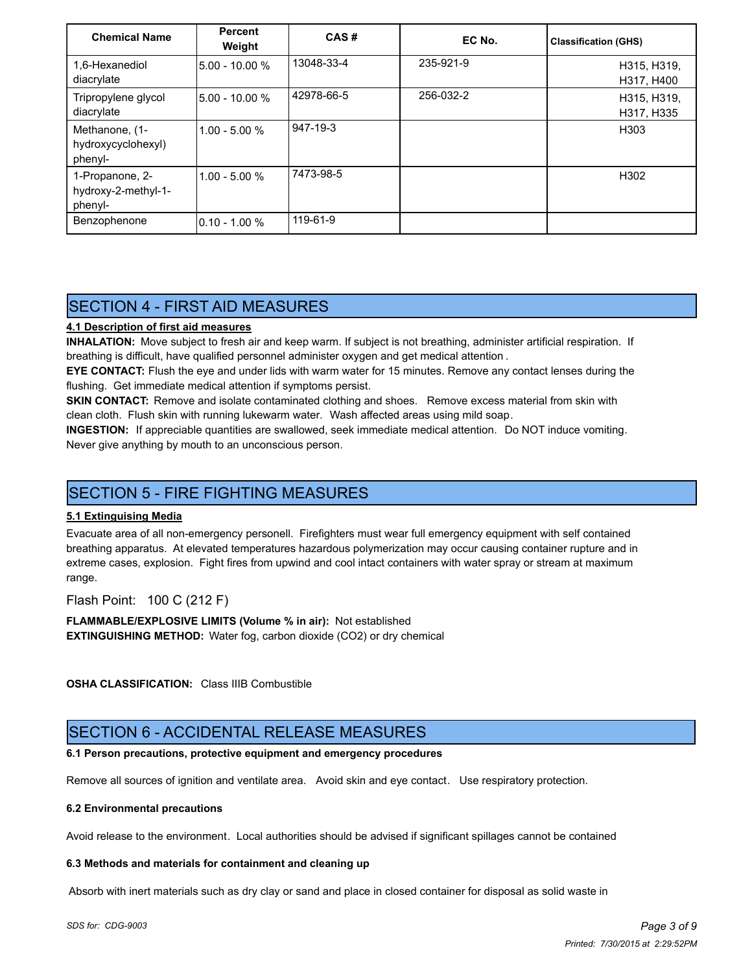| <b>Chemical Name</b>                              | <b>Percent</b><br>Weight | CAS#       | EC No.    | <b>Classification (GHS)</b> |
|---------------------------------------------------|--------------------------|------------|-----------|-----------------------------|
| 1,6-Hexanediol<br>diacrylate                      | 5.00 - 10.00 %           | 13048-33-4 | 235-921-9 | H315, H319,<br>H317, H400   |
| Tripropylene glycol<br>diacrylate                 | 5.00 - 10.00 %           | 42978-66-5 | 256-032-2 | H315, H319,<br>H317, H335   |
| Methanone, (1-<br>hydroxycyclohexyl)<br>phenyl-   | $1.00 - 5.00 %$          | 947-19-3   |           | H <sub>303</sub>            |
| 1-Propanone, 2-<br>hydroxy-2-methyl-1-<br>phenyl- | $1.00 - 5.00 %$          | 7473-98-5  |           | H <sub>302</sub>            |
| Benzophenone                                      | l0.10 - 1.00 %           | 119-61-9   |           |                             |

## SECTION 4 - FIRST AID MEASURES

## **4.1 Description of first aid measures**

**INHALATION:** Move subject to fresh air and keep warm. If subject is not breathing, administer artificial respiration. If breathing is difficult, have qualified personnel administer oxygen and get medical attention .

**EYE CONTACT:** Flush the eye and under lids with warm water for 15 minutes. Remove any contact lenses during the flushing. Get immediate medical attention if symptoms persist.

**SKIN CONTACT:** Remove and isolate contaminated clothing and shoes. Remove excess material from skin with clean cloth. Flush skin with running lukewarm water. Wash affected areas using mild soap.

**INGESTION:** If appreciable quantities are swallowed, seek immediate medical attention. Do NOT induce vomiting. Never give anything by mouth to an unconscious person.

## SECTION 5 - FIRE FIGHTING MEASURES

### **5.1 Extinguising Media**

Evacuate area of all non-emergency personell. Firefighters must wear full emergency equipment with self contained breathing apparatus. At elevated temperatures hazardous polymerization may occur causing container rupture and in extreme cases, explosion. Fight fires from upwind and cool intact containers with water spray or stream at maximum range.

Flash Point: 100 C (212 F)

**FLAMMABLE/EXPLOSIVE LIMITS (Volume % in air):** Not established **EXTINGUISHING METHOD:** Water fog, carbon dioxide (CO2) or dry chemical

**OSHA CLASSIFICATION:** Class IIIB Combustible

## SECTION 6 - ACCIDENTAL RELEASE MEASURES

### **6.1 Person precautions, protective equipment and emergency procedures**

Remove all sources of ignition and ventilate area. Avoid skin and eye contact. Use respiratory protection.

### **6.2 Environmental precautions**

Avoid release to the environment. Local authorities should be advised if significant spillages cannot be contained

### **6.3 Methods and materials for containment and cleaning up**

Absorb with inert materials such as dry clay or sand and place in closed container for disposal as solid waste in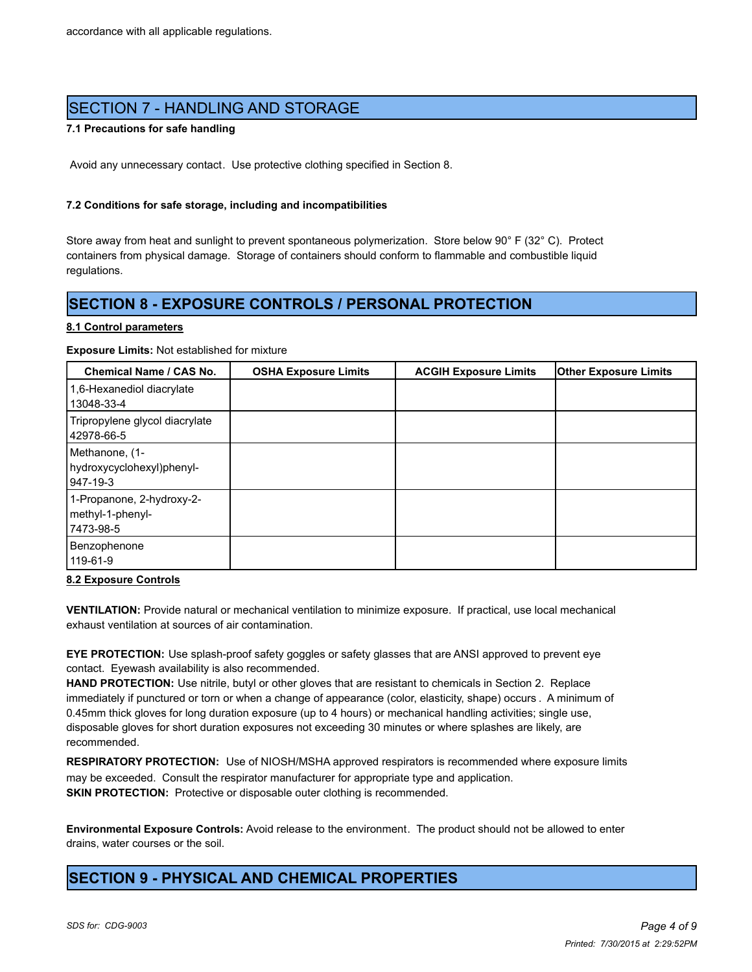## SECTION 7 - HANDLING AND STORAGE

### **7.1 Precautions for safe handling**

Avoid any unnecessary contact. Use protective clothing specified in Section 8.

### **7.2 Conditions for safe storage, including and incompatibilities**

Store away from heat and sunlight to prevent spontaneous polymerization. Store below 90° F (32° C). Protect containers from physical damage. Storage of containers should conform to flammable and combustible liquid regulations.

## **SECTION 8 - EXPOSURE CONTROLS / PERSONAL PROTECTION**

### **8.1 Control parameters**

**Exposure Limits:** Not established for mixture

| <b>Chemical Name / CAS No.</b>                              | <b>OSHA Exposure Limits</b> | <b>ACGIH Exposure Limits</b> | <b>Other Exposure Limits</b> |
|-------------------------------------------------------------|-----------------------------|------------------------------|------------------------------|
| 1,6-Hexanediol diacrylate<br>13048-33-4                     |                             |                              |                              |
| Tripropylene glycol diacrylate<br>42978-66-5                |                             |                              |                              |
| Methanone, (1-<br>hydroxycyclohexyl)phenyl-<br>947-19-3     |                             |                              |                              |
| 1-Propanone, 2-hydroxy-2-<br>methyl-1-phenyl-<br> 7473-98-5 |                             |                              |                              |
| Benzophenone<br>119-61-9                                    |                             |                              |                              |

### **8.2 Exposure Controls**

**VENTILATION:** Provide natural or mechanical ventilation to minimize exposure. If practical, use local mechanical exhaust ventilation at sources of air contamination.

**EYE PROTECTION:** Use splash-proof safety goggles or safety glasses that are ANSI approved to prevent eye contact. Eyewash availability is also recommended.

**HAND PROTECTION:** Use nitrile, butyl or other gloves that are resistant to chemicals in Section 2. Replace immediately if punctured or torn or when a change of appearance (color, elasticity, shape) occurs . A minimum of 0.45mm thick gloves for long duration exposure (up to 4 hours) or mechanical handling activities; single use, disposable gloves for short duration exposures not exceeding 30 minutes or where splashes are likely, are recommended.

**RESPIRATORY PROTECTION:** Use of NIOSH/MSHA approved respirators is recommended where exposure limits may be exceeded. Consult the respirator manufacturer for appropriate type and application. **SKIN PROTECTION:** Protective or disposable outer clothing is recommended.

**Environmental Exposure Controls:** Avoid release to the environment. The product should not be allowed to enter drains, water courses or the soil.

## **SECTION 9 - PHYSICAL AND CHEMICAL PROPERTIES**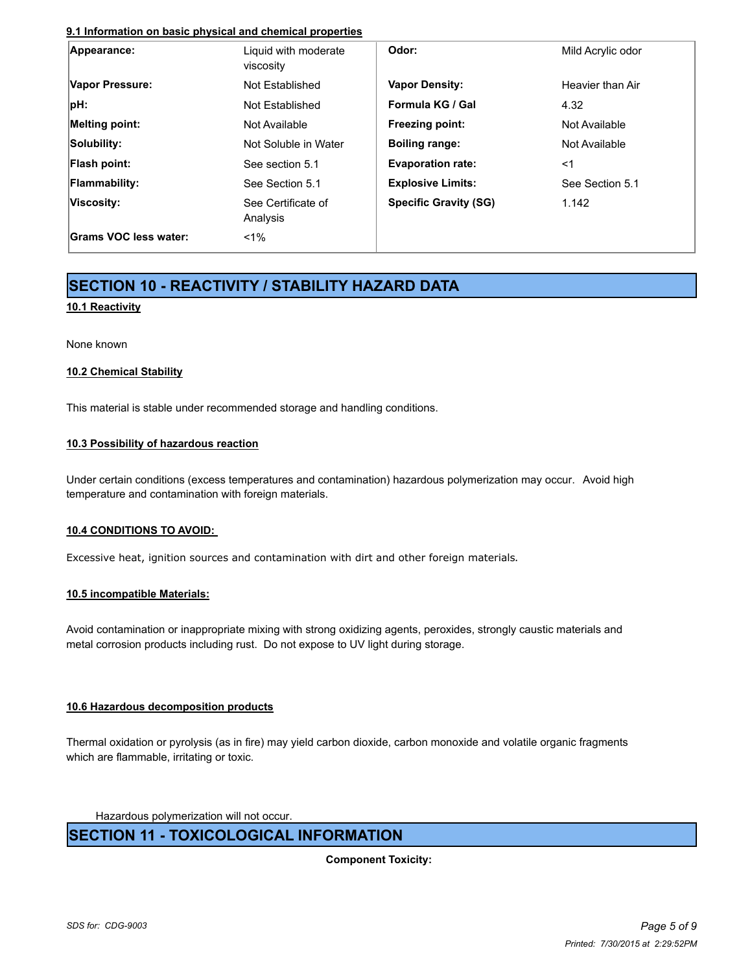### **9.1 Information on basic physical and chemical properties**

| Appearance:           | Liquid with moderate<br>viscosity | Odor:                        | Mild Acrylic odor |
|-----------------------|-----------------------------------|------------------------------|-------------------|
| Vapor Pressure:       | Not Established                   | <b>Vapor Density:</b>        | Heavier than Air  |
| pH:                   | Not Established                   | Formula KG / Gal             | 4.32              |
| Melting point:        | Not Available                     | <b>Freezing point:</b>       | Not Available     |
| Solubility:           | Not Soluble in Water              | <b>Boiling range:</b>        | Not Available     |
| Flash point:          | See section 5.1                   | <b>Evaporation rate:</b>     | <1                |
| Flammability:         | See Section 5.1                   | <b>Explosive Limits:</b>     | See Section 5.1   |
| Viscosity:            | See Certificate of<br>Analysis    | <b>Specific Gravity (SG)</b> | 1.142             |
| Grams VOC less water: | $1\%$                             |                              |                   |

# **SECTION 10 - REACTIVITY / STABILITY HAZARD DATA**

### **10.1 Reactivity**

None known

### **10.2 Chemical Stability**

This material is stable under recommended storage and handling conditions.

### **10.3 Possibility of hazardous reaction**

Under certain conditions (excess temperatures and contamination) hazardous polymerization may occur. Avoid high temperature and contamination with foreign materials.

### **10.4 CONDITIONS TO AVOID:**

Excessive heat, ignition sources and contamination with dirt and other foreign materials.

### **10.5 incompatible Materials:**

Avoid contamination or inappropriate mixing with strong oxidizing agents, peroxides, strongly caustic materials and metal corrosion products including rust. Do not expose to UV light during storage.

### **10.6 Hazardous decomposition products**

Thermal oxidation or pyrolysis (as in fire) may yield carbon dioxide, carbon monoxide and volatile organic fragments which are flammable, irritating or toxic.

Hazardous polymerization will not occur.

## **SECTION 11 - TOXICOLOGICAL INFORMATION**

**Component Toxicity:**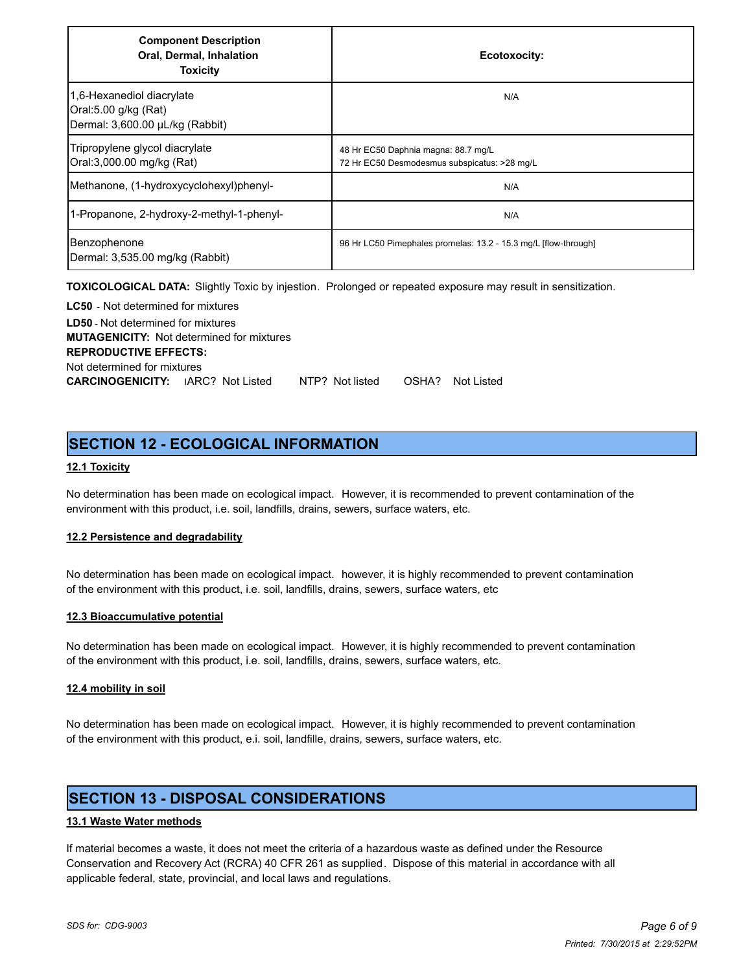| <b>Component Description</b><br>Oral, Dermal, Inhalation<br><b>Toxicity</b>          | Ecotoxocity:                                                                        |
|--------------------------------------------------------------------------------------|-------------------------------------------------------------------------------------|
| 1,6-Hexanediol diacrylate<br>Oral:5.00 g/kg (Rat)<br>Dermal: 3,600.00 µL/kg (Rabbit) | N/A                                                                                 |
| Tripropylene glycol diacrylate<br>Oral:3,000.00 mg/kg (Rat)                          | 48 Hr EC50 Daphnia magna: 88.7 mg/L<br>72 Hr EC50 Desmodesmus subspicatus: >28 mg/L |
| Methanone, (1-hydroxycyclohexyl)phenyl-                                              | N/A                                                                                 |
| 1-Propanone, 2-hydroxy-2-methyl-1-phenyl-                                            | N/A                                                                                 |
| Benzophenone<br>Dermal: 3,535.00 mg/kg (Rabbit)                                      | 96 Hr LC50 Pimephales promelas: 13.2 - 15.3 mg/L [flow-through]                     |

**TOXICOLOGICAL DATA:** Slightly Toxic by injestion. Prolonged or repeated exposure may result in sensitization.

**LC50** - Not determined for mixtures **LD50** - Not determined for mixtures **MUTAGENICITY:** Not determined for mixtures **REPRODUCTIVE EFFECTS:** Not determined for mixtures **CARCINOGENICITY:** IARC? Not Listed NTP? Not listed OSHA? Not Listed

## **SECTION 12 - ECOLOGICAL INFORMATION**

### **12.1 Toxicity**

No determination has been made on ecological impact. However, it is recommended to prevent contamination of the environment with this product, i.e. soil, landfills, drains, sewers, surface waters, etc.

### **12.2 Persistence and degradability**

No determination has been made on ecological impact. however, it is highly recommended to prevent contamination of the environment with this product, i.e. soil, landfills, drains, sewers, surface waters, etc

### **12.3 Bioaccumulative potential**

No determination has been made on ecological impact. However, it is highly recommended to prevent contamination of the environment with this product, i.e. soil, landfills, drains, sewers, surface waters, etc.

### **12.4 mobility in soil**

No determination has been made on ecological impact. However, it is highly recommended to prevent contamination of the environment with this product, e.i. soil, landfille, drains, sewers, surface waters, etc.

## **SECTION 13 - DISPOSAL CONSIDERATIONS**

### **13.1 Waste Water methods**

If material becomes a waste, it does not meet the criteria of a hazardous waste as defined under the Resource Conservation and Recovery Act (RCRA) 40 CFR 261 as supplied. Dispose of this material in accordance with all applicable federal, state, provincial, and local laws and regulations.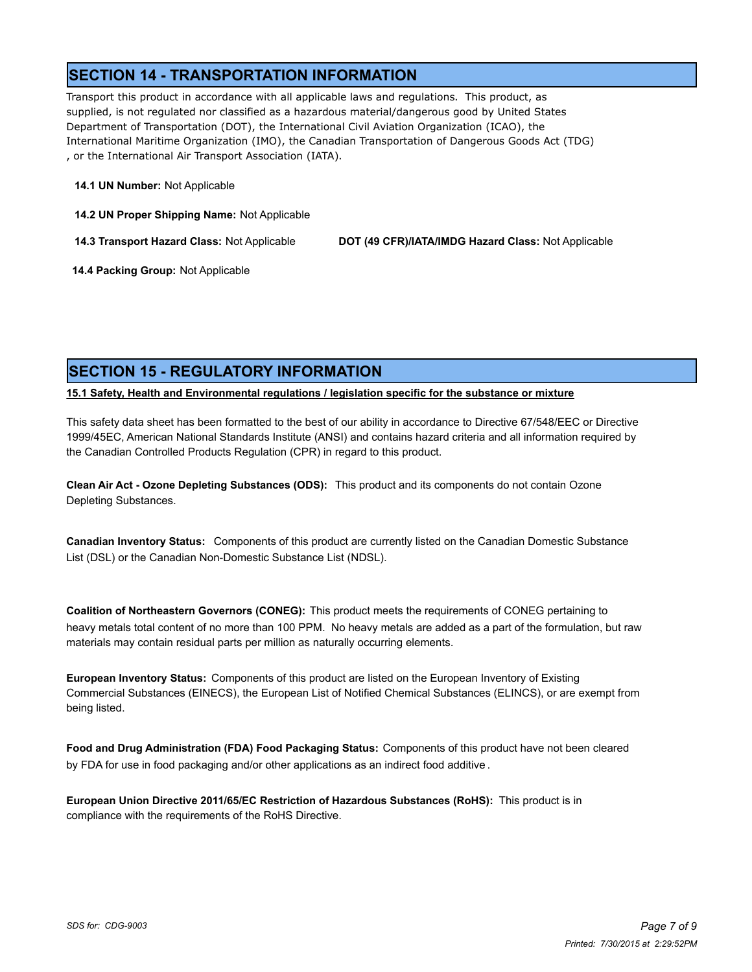## **SECTION 14 - TRANSPORTATION INFORMATION**

Transport this product in accordance with all applicable laws and regulations. This product, as supplied, is not regulated nor classified as a hazardous material/dangerous good by United States Department of Transportation (DOT), the International Civil Aviation Organization (ICAO), the International Maritime Organization (IMO), the Canadian Transportation of Dangerous Goods Act (TDG) , or the International Air Transport Association (IATA).

### **14.1 UN Number:** Not Applicable

**14.2 UN Proper Shipping Name:** Not Applicable

**14.3 Transport Hazard Class:** Not Applicable **DOT (49 CFR)/IATA/IMDG Hazard Class:** Not Applicable

 **14.4 Packing Group:** Not Applicable

## **SECTION 15 - REGULATORY INFORMATION**

**15.1 Safety, Health and Environmental regulations / legislation specific for the substance or mixture**

This safety data sheet has been formatted to the best of our ability in accordance to Directive 67/548/EEC or Directive 1999/45EC, American National Standards Institute (ANSI) and contains hazard criteria and all information required by the Canadian Controlled Products Regulation (CPR) in regard to this product.

**Clean Air Act - Ozone Depleting Substances (ODS):** This product and its components do not contain Ozone Depleting Substances.

**Canadian Inventory Status:** Components of this product are currently listed on the Canadian Domestic Substance List (DSL) or the Canadian Non-Domestic Substance List (NDSL).

**Coalition of Northeastern Governors (CONEG):** This product meets the requirements of CONEG pertaining to heavy metals total content of no more than 100 PPM. No heavy metals are added as a part of the formulation, but raw materials may contain residual parts per million as naturally occurring elements.

**European Inventory Status:** Components of this product are listed on the European Inventory of Existing Commercial Substances (EINECS), the European List of Notified Chemical Substances (ELINCS), or are exempt from being listed.

**Food and Drug Administration (FDA) Food Packaging Status:** Components of this product have not been cleared by FDA for use in food packaging and/or other applications as an indirect food additive .

**European Union Directive 2011/65/EC Restriction of Hazardous Substances (RoHS):** This product is in compliance with the requirements of the RoHS Directive.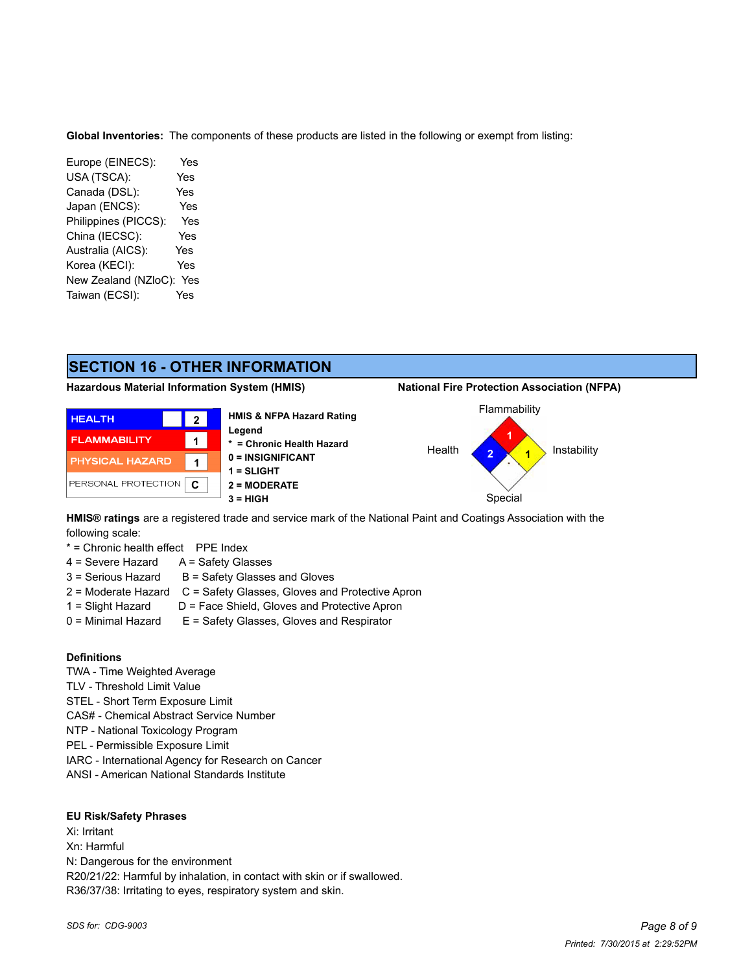**Global Inventories:** The components of these products are listed in the following or exempt from listing:

Europe (EINECS): Yes USA (TSCA): Yes Canada (DSL): Yes Japan (ENCS): Yes Philippines (PICCS): Yes China (IECSC): Yes Australia (AICS): Yes Korea (KECI): Yes New Zealand (NZloC): Yes Taiwan (ECSI): Yes

# **SECTION 16 - OTHER INFORMATION**

### **Hazardous Material Information System (HMIS) National Fire Protection Association (NFPA)**





**HMIS® ratings** are a registered trade and service mark of the National Paint and Coatings Association with the following scale:

\* = Chronic health effect PPE Index

- 4 = Severe Hazard A = Safety Glasses
- $3 =$  Serious Hazard  $B =$  Safety Glasses and Gloves
- 2 = Moderate Hazard C = Safety Glasses, Gloves and Protective Apron
- 1 = Slight Hazard D = Face Shield, Gloves and Protective Apron
- 0 = Minimal Hazard E = Safety Glasses, Gloves and Respirator

### **Definitions**

**HEALTH** 

**FLAMMABILITY** 

TWA - Time Weighted Average TLV - Threshold Limit Value STEL - Short Term Exposure Limit CAS# - Chemical Abstract Service Number NTP - National Toxicology Program PEL - Permissible Exposure Limit IARC - International Agency for Research on Cancer

ANSI - American National Standards Institute

### **EU Risk/Safety Phrases**

Xi: Irritant Xn: Harmful N: Dangerous for the environment R20/21/22: Harmful by inhalation, in contact with skin or if swallowed. R36/37/38: Irritating to eyes, respiratory system and skin.